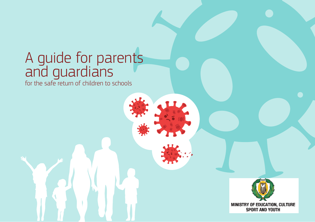## A guide for parents and guardians

for the safe return of children to schools

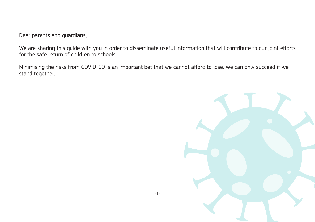Dear parents and guardians,

We are sharing this guide with you in order to disseminate useful information that will contribute to our joint efforts for the safe return of children to schools.

Minimising the risks from COVID-19 is an important bet that we cannot afford to lose. We can only succeed if we stand together.

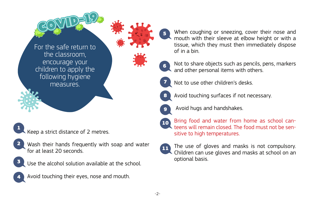

Keep a strict distance of 2 metres. 1

- Wash their hands frequently with soap and water for at least 20 seconds. 2
- Use the alcohol solution available at the school. 3
- Avoid touching their eyes, nose and mouth. 4

When coughing or sneezing, cover their nose and mouth with their sleeve at elbow height or with a tissue, which they must then immediately dispose of in a bin.

- Not to share objects such as pencils, pens, markers and other personal items with others.
- Not to use other children's desks.

5

6

7

8

9

- Avoid touching surfaces if not necessary.
- - Avoid hugs and handshakes.
- Bring food and water from home as school canteens will remain closed. The food must not be sensitive to high temperatures. 10
- The use of gloves and masks is not compulsory. Children can use gloves and masks at school on an optional basis. 11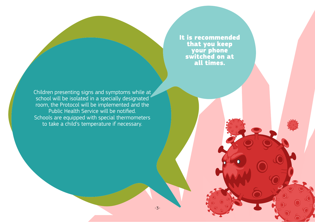It is recommended that you keep your phone switched on at all times.

-3-

Children presenting signs and symptoms while at school will be isolated in a specially designated room, the Protocol will be implemented and the Public Health Service will be notified. Schools are equipped with special thermometers to take a child's temperature if necessary.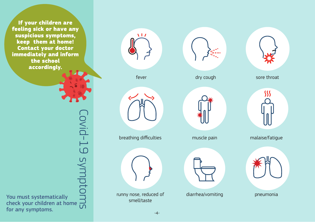If your children are feeling sick or have any suspicious symptoms, keep them at home! Contact your doctor immediately and inform the school accordingly.

Covid-19 symptoms Covid-19 symptor You must systematically check your children at home for any symptoms.





dry cough

muscle pain

diarrhea/vomiting





malaise/fatigue



pneumonia

breathing difficulties





runny nose, reduced of smell/taste

-4-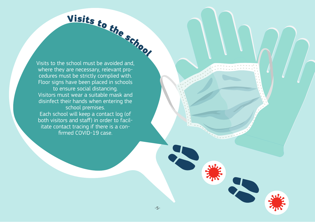

Visits to the school must be avoided and, where they are necessary, relevant procedures must be strictly complied with. Floor signs have been placed in schools to ensure social distancing. Visitors must wear a suitable mask and disinfect their hands when entering the school premises. Each school will keep a contact log (of both visitors and staff) in order to facilitate contact tracing if there is a confirmed COVID-19 case.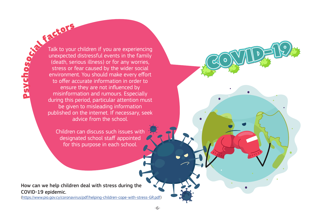**Psy**  $\overline{\mathbf{u}}$ h o

Factors Talk to your children if you are experiencing unexpected distressful events in the family (death, serious illness) or for any worries, stress or fear caused by the wider social environment. You should make every effort to offer accurate information in order to ensure they are not influenced by misinformation and rumours. Especially during this period, particular attention must be given to misleading information published on the internet. If necessary, seek advice from the school.

> Children can discuss such issues with designated school staff appointed for this purpose in each school.

How can we help children deal with stress during the COVID-19 epidemic.

(https://www.pio.gov.cy/coronavirus/pdf/helping-children-cope-with-stress-GR.pdf)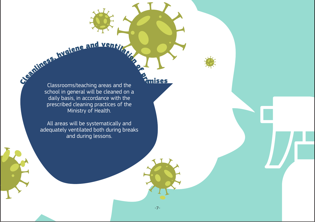hygiene and ventilation

-7-

<sup>o</sup><sup>f</sup>

Cleanliness, <sup>p</sup>remises Classrooms/teaching areas and the school in general will be cleaned on a daily basis, in accordance with the prescribed cleaning practices of the Ministry of Health.

> All areas will be systematically and adequately ventilated both during breaks and during lessons.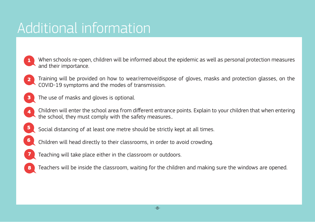## Additional information

- When schools re-open, children will be informed about the epidemic as well as personal protection measures and their importance. 1
- Training will be provided on how to wear/remove/dispose of gloves, masks and protection glasses, on the COVID-19 symptoms and the modes of transmission. 2
- The use of masks and gloves is optional. 3
- Children will enter the school area from different entrance points. Explain to your children that when entering the school, they must comply with the safety measures.. 4
- Social distancing of at least one metre should be strictly kept at all times. 5
- Children will head directly to their classrooms, in order to avoid crowding. 6
- Teaching will take place either in the classroom or outdoors. 7
- Teachers will be inside the classroom, waiting for the children and making sure the windows are opened. 8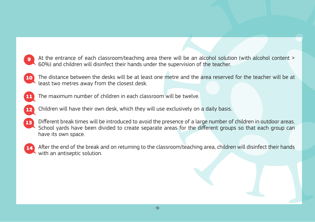- At the entrance of each classroom/teaching area there will be an alcohol solution (with alcohol content > 60%) and children will disinfect their hands under the supervision of the teacher. 9
- The distance between the desks will be at least one metre and the area reserved for the teacher will be at least two metres away from the closest desk. 10
- The maximum number of children in each classroom will be twelve. 11
- Children will have their own desk, which they will use exclusively on a daily basis. 12
- Different break times will be introduced to avoid the presence of a large number of children in outdoor areas. School yards have been divided to create separate areas for the different groups so that each group can have its own space. 13
- After the end of the break and on returning to the classroom/teaching area, children will disinfect their hands with an antiseptic solution. 14